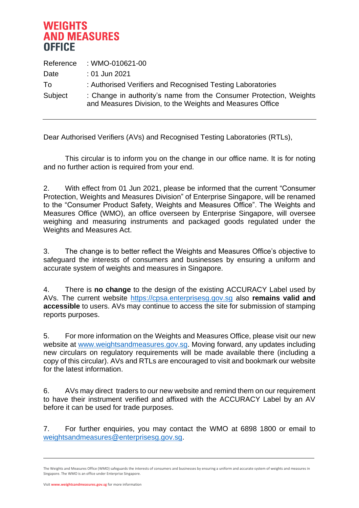## **WEIGHTS AND MEASURES OFFICE**

| Reference | : WMO-010621-00                                                                                                                 |
|-----------|---------------------------------------------------------------------------------------------------------------------------------|
| Date      | : 01 Jun 2021                                                                                                                   |
| To.       | : Authorised Verifiers and Recognised Testing Laboratories                                                                      |
| Subject   | : Change in authority's name from the Consumer Protection, Weights<br>and Measures Division, to the Weights and Measures Office |

Dear Authorised Verifiers (AVs) and Recognised Testing Laboratories (RTLs),

This circular is to inform you on the change in our office name. It is for noting and no further action is required from your end.

2. With effect from 01 Jun 2021, please be informed that the current "Consumer Protection, Weights and Measures Division" of Enterprise Singapore, will be renamed to the "Consumer Product Safety, Weights and Measures Office". The Weights and Measures Office (WMO), an office overseen by Enterprise Singapore, will oversee weighing and measuring instruments and packaged goods regulated under the Weights and Measures Act.

3. The change is to better reflect the Weights and Measures Office's objective to safeguard the interests of consumers and businesses by ensuring a uniform and accurate system of weights and measures in Singapore.

4. There is **no change** to the design of the existing ACCURACY Label used by AVs. The current website [https://cpsa.enterprisesg.gov.sg](https://cpsa.enterprisesg.gov.sg/) also **remains valid and accessible** to users. AVs may continue to access the site for submission of stamping reports purposes.

5. For more information on the Weights and Measures Office, please visit our new website at [www.weightsandmeasures.gov.sg.](http://www.wmo.gov.sg/) Moving forward, any updates including new circulars on regulatory requirements will be made available there (including a copy of this circular). AVs and RTLs are encouraged to visit and bookmark our website for the latest information.

6. AVs may direct traders to our new website and remind them on our requirement to have their instrument verified and affixed with the ACCURACY Label by an AV before it can be used for trade purposes.

7. For further enquiries, you may contact the WMO at 6898 1800 or email to [weightsandmeasures@enterprisesg.gov.sg.](mailto:consumerprotection@enterprisesg.gov.sg)

The Weights and Measures Office (WMO) safeguards the interests of consumers and businesses by ensuring a uniform and accurate system of weights and measures in Singapore. The WMO is an office under Enterprise Singapore.